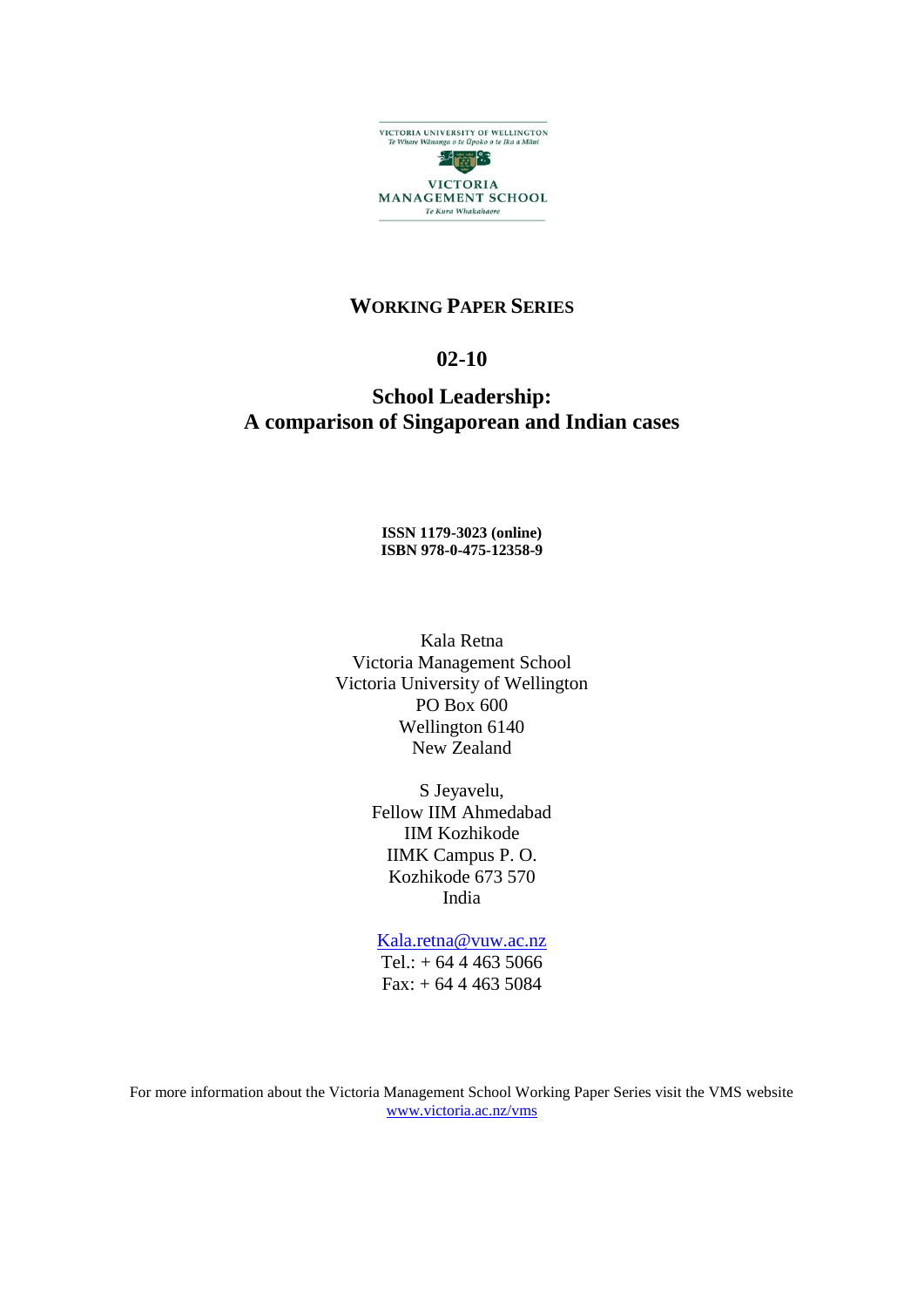

# **WORKING PAPER SERIES**

## **02-10**

# **School Leadership: A comparison of Singaporean and Indian cases**

**ISSN 1179-3023 (online) ISBN 978-0-475-12358-9**

Kala Retna Victoria Management School Victoria University of Wellington PO Box 600 Wellington 6140 New Zealand

> S Jeyavelu, Fellow IIM Ahmedabad IIM Kozhikode IIMK Campus P. O. Kozhikode 673 570 India

## [Kala.retna@vuw.ac.nz](mailto:Kala.retna@vuw.ac.nz)

Tel.:  $+ 64444635066$ Fax: + 64 4 463 5084

For more information about the Victoria Management School Working Paper Series visit the VMS website [www.victoria.ac.nz/vms](http://www.victoria.ac.nz/vms)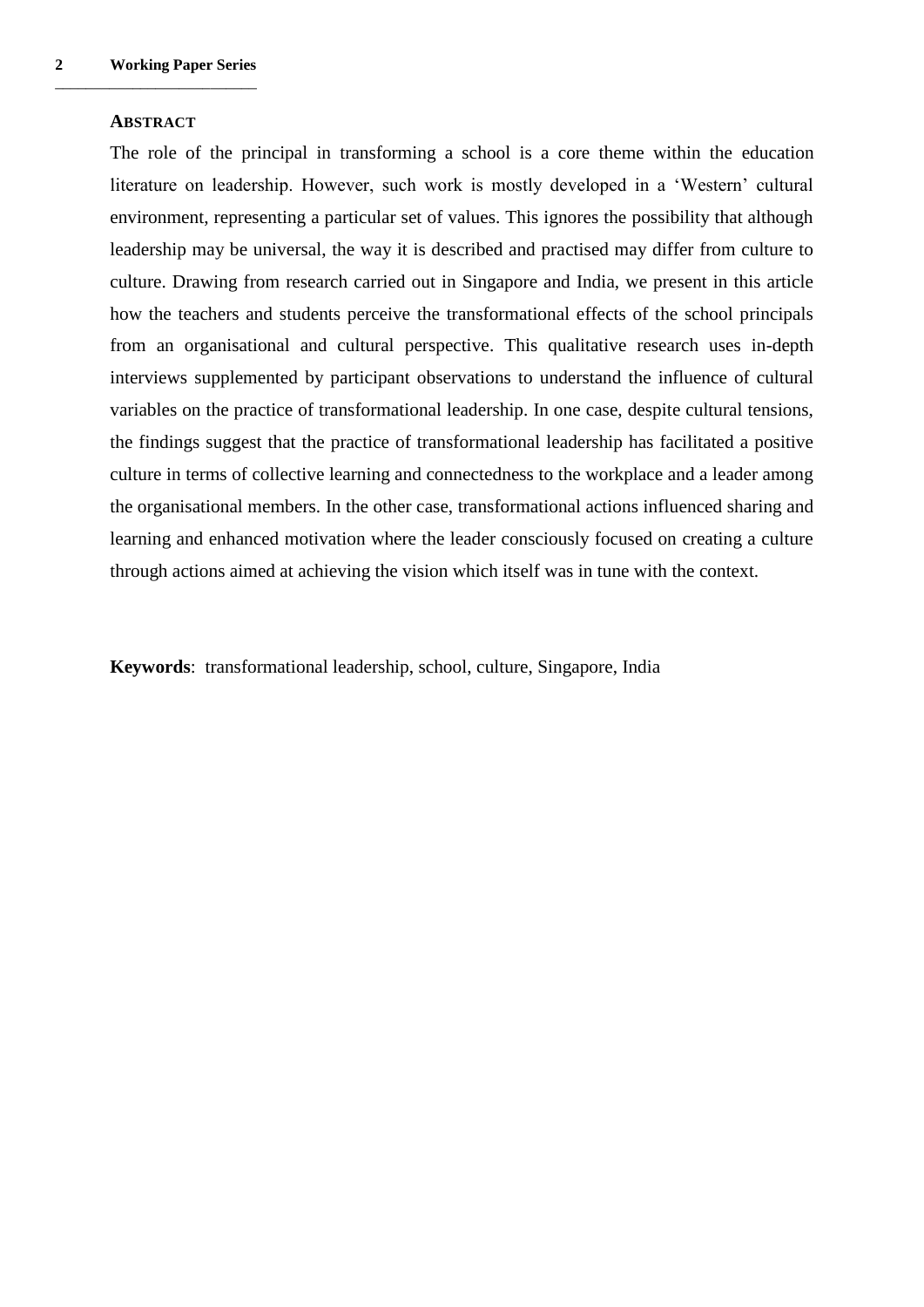#### **ABSTRACT**

The role of the principal in transforming a school is a core theme within the education literature on leadership. However, such work is mostly developed in a "Western" cultural environment, representing a particular set of values. This ignores the possibility that although leadership may be universal, the way it is described and practised may differ from culture to culture. Drawing from research carried out in Singapore and India, we present in this article how the teachers and students perceive the transformational effects of the school principals from an organisational and cultural perspective. This qualitative research uses in-depth interviews supplemented by participant observations to understand the influence of cultural variables on the practice of transformational leadership. In one case, despite cultural tensions, the findings suggest that the practice of transformational leadership has facilitated a positive culture in terms of collective learning and connectedness to the workplace and a leader among the organisational members. In the other case, transformational actions influenced sharing and learning and enhanced motivation where the leader consciously focused on creating a culture through actions aimed at achieving the vision which itself was in tune with the context.

**Keywords**: transformational leadership, school, culture, Singapore, India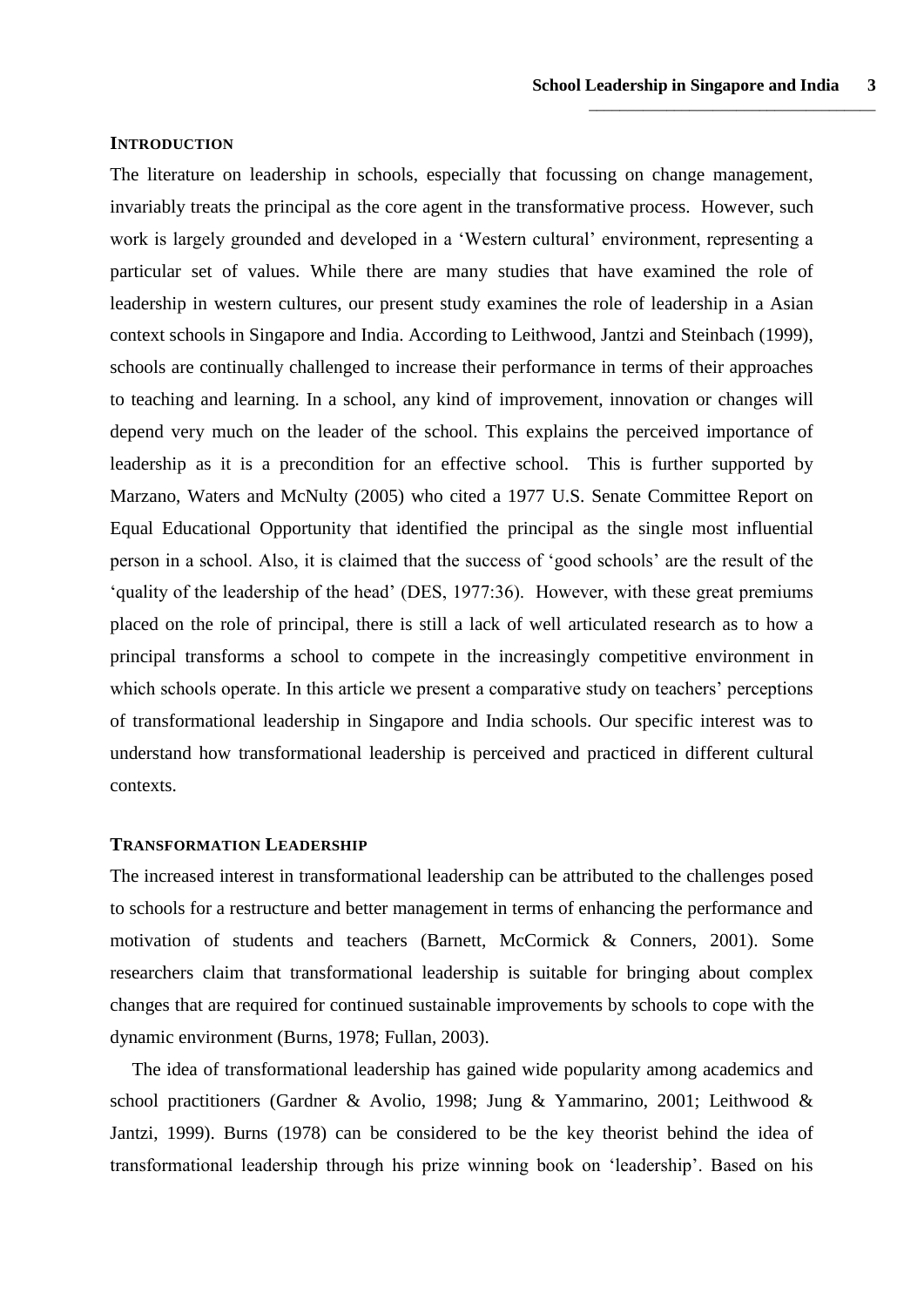#### **INTRODUCTION**

The literature on leadership in schools, especially that focussing on change management, invariably treats the principal as the core agent in the transformative process. However, such work is largely grounded and developed in a "Western cultural" environment, representing a particular set of values. While there are many studies that have examined the role of leadership in western cultures, our present study examines the role of leadership in a Asian context schools in Singapore and India. According to Leithwood, Jantzi and Steinbach (1999), schools are continually challenged to increase their performance in terms of their approaches to teaching and learning. In a school, any kind of improvement, innovation or changes will depend very much on the leader of the school. This explains the perceived importance of leadership as it is a precondition for an effective school. This is further supported by Marzano, Waters and McNulty (2005) who cited a 1977 U.S. Senate Committee Report on Equal Educational Opportunity that identified the principal as the single most influential person in a school. Also, it is claimed that the success of "good schools" are the result of the "quality of the leadership of the head" (DES, 1977:36). However, with these great premiums placed on the role of principal, there is still a lack of well articulated research as to how a principal transforms a school to compete in the increasingly competitive environment in which schools operate. In this article we present a comparative study on teachers' perceptions of transformational leadership in Singapore and India schools. Our specific interest was to understand how transformational leadership is perceived and practiced in different cultural contexts.

## **TRANSFORMATION LEADERSHIP**

The increased interest in transformational leadership can be attributed to the challenges posed to schools for a restructure and better management in terms of enhancing the performance and motivation of students and teachers (Barnett, McCormick & Conners, 2001). Some researchers claim that transformational leadership is suitable for bringing about complex changes that are required for continued sustainable improvements by schools to cope with the dynamic environment (Burns, 1978; Fullan, 2003).

The idea of transformational leadership has gained wide popularity among academics and school practitioners (Gardner & Avolio, 1998; Jung & Yammarino, 2001; Leithwood & Jantzi, 1999). Burns (1978) can be considered to be the key theorist behind the idea of transformational leadership through his prize winning book on "leadership". Based on his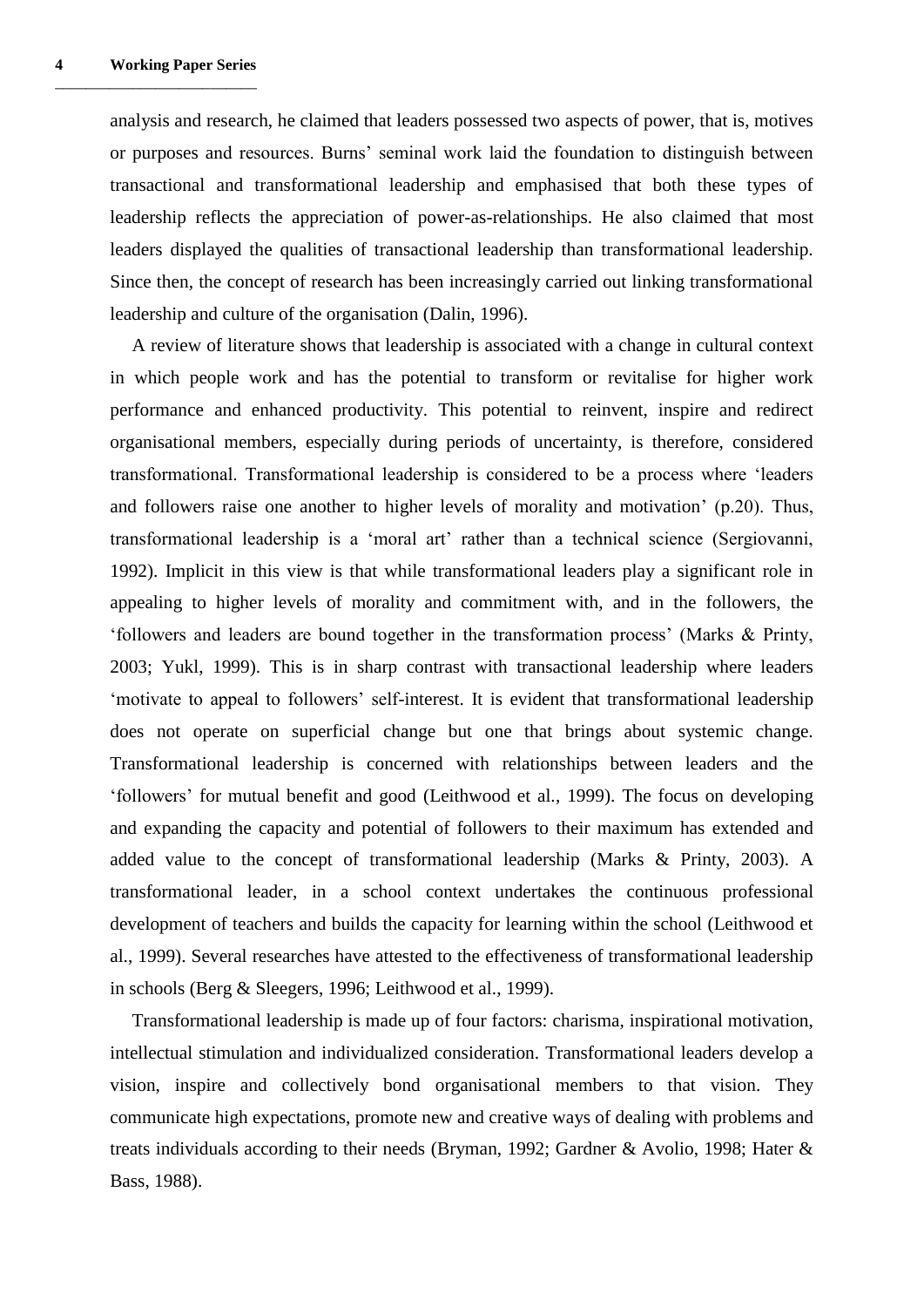analysis and research, he claimed that leaders possessed two aspects of power, that is, motives or purposes and resources. Burns" seminal work laid the foundation to distinguish between transactional and transformational leadership and emphasised that both these types of leadership reflects the appreciation of power-as-relationships. He also claimed that most leaders displayed the qualities of transactional leadership than transformational leadership. Since then, the concept of research has been increasingly carried out linking transformational leadership and culture of the organisation (Dalin, 1996).

A review of literature shows that leadership is associated with a change in cultural context in which people work and has the potential to transform or revitalise for higher work performance and enhanced productivity. This potential to reinvent, inspire and redirect organisational members, especially during periods of uncertainty, is therefore, considered transformational. Transformational leadership is considered to be a process where "leaders and followers raise one another to higher levels of morality and motivation" (p.20). Thus, transformational leadership is a "moral art" rather than a technical science (Sergiovanni, 1992). Implicit in this view is that while transformational leaders play a significant role in appealing to higher levels of morality and commitment with, and in the followers, the "followers and leaders are bound together in the transformation process" (Marks & Printy, 2003; Yukl, 1999). This is in sharp contrast with transactional leadership where leaders "motivate to appeal to followers" self-interest. It is evident that transformational leadership does not operate on superficial change but one that brings about systemic change. Transformational leadership is concerned with relationships between leaders and the "followers" for mutual benefit and good (Leithwood et al., 1999). The focus on developing and expanding the capacity and potential of followers to their maximum has extended and added value to the concept of transformational leadership (Marks & Printy, 2003). A transformational leader, in a school context undertakes the continuous professional development of teachers and builds the capacity for learning within the school (Leithwood et al., 1999). Several researches have attested to the effectiveness of transformational leadership in schools (Berg & Sleegers, 1996; Leithwood et al., 1999).

Transformational leadership is made up of four factors: charisma, inspirational motivation, intellectual stimulation and individualized consideration. Transformational leaders develop a vision, inspire and collectively bond organisational members to that vision. They communicate high expectations, promote new and creative ways of dealing with problems and treats individuals according to their needs (Bryman, 1992; Gardner & Avolio, 1998; Hater & Bass, 1988).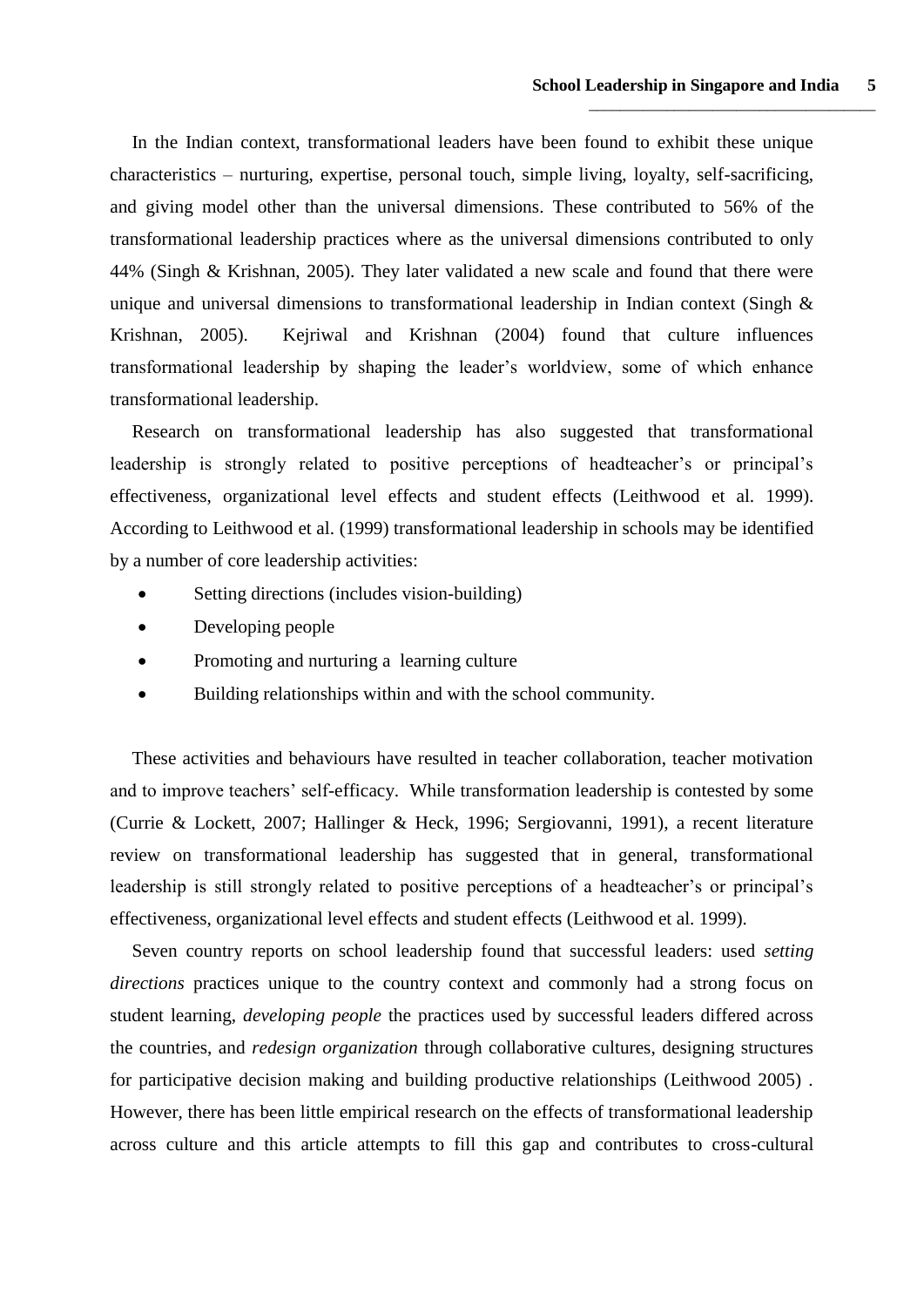In the Indian context, transformational leaders have been found to exhibit these unique characteristics – nurturing, expertise, personal touch, simple living, loyalty, self-sacrificing, and giving model other than the universal dimensions. These contributed to 56% of the transformational leadership practices where as the universal dimensions contributed to only 44% (Singh & Krishnan, 2005). They later validated a new scale and found that there were unique and universal dimensions to transformational leadership in Indian context (Singh & Krishnan, 2005). Kejriwal and Krishnan (2004) found that culture influences transformational leadership by shaping the leader"s worldview, some of which enhance transformational leadership.

Research on transformational leadership has also suggested that transformational leadership is strongly related to positive perceptions of headteacher's or principal's effectiveness, organizational level effects and student effects (Leithwood et al. 1999). According to Leithwood et al. (1999) transformational leadership in schools may be identified by a number of core leadership activities:

- Setting directions (includes vision-building)
- Developing people
- Promoting and nurturing a learning culture
- Building relationships within and with the school community.

These activities and behaviours have resulted in teacher collaboration, teacher motivation and to improve teachers' self-efficacy. While transformation leadership is contested by some (Currie & Lockett, 2007; Hallinger & Heck, 1996; Sergiovanni, 1991), a recent literature review on transformational leadership has suggested that in general, transformational leadership is still strongly related to positive perceptions of a headteacher's or principal's effectiveness, organizational level effects and student effects (Leithwood et al. 1999).

Seven country reports on school leadership found that successful leaders: used *setting directions* practices unique to the country context and commonly had a strong focus on student learning, *developing people* the practices used by successful leaders differed across the countries, and *redesign organization* through collaborative cultures, designing structures for participative decision making and building productive relationships (Leithwood 2005) . However, there has been little empirical research on the effects of transformational leadership across culture and this article attempts to fill this gap and contributes to cross-cultural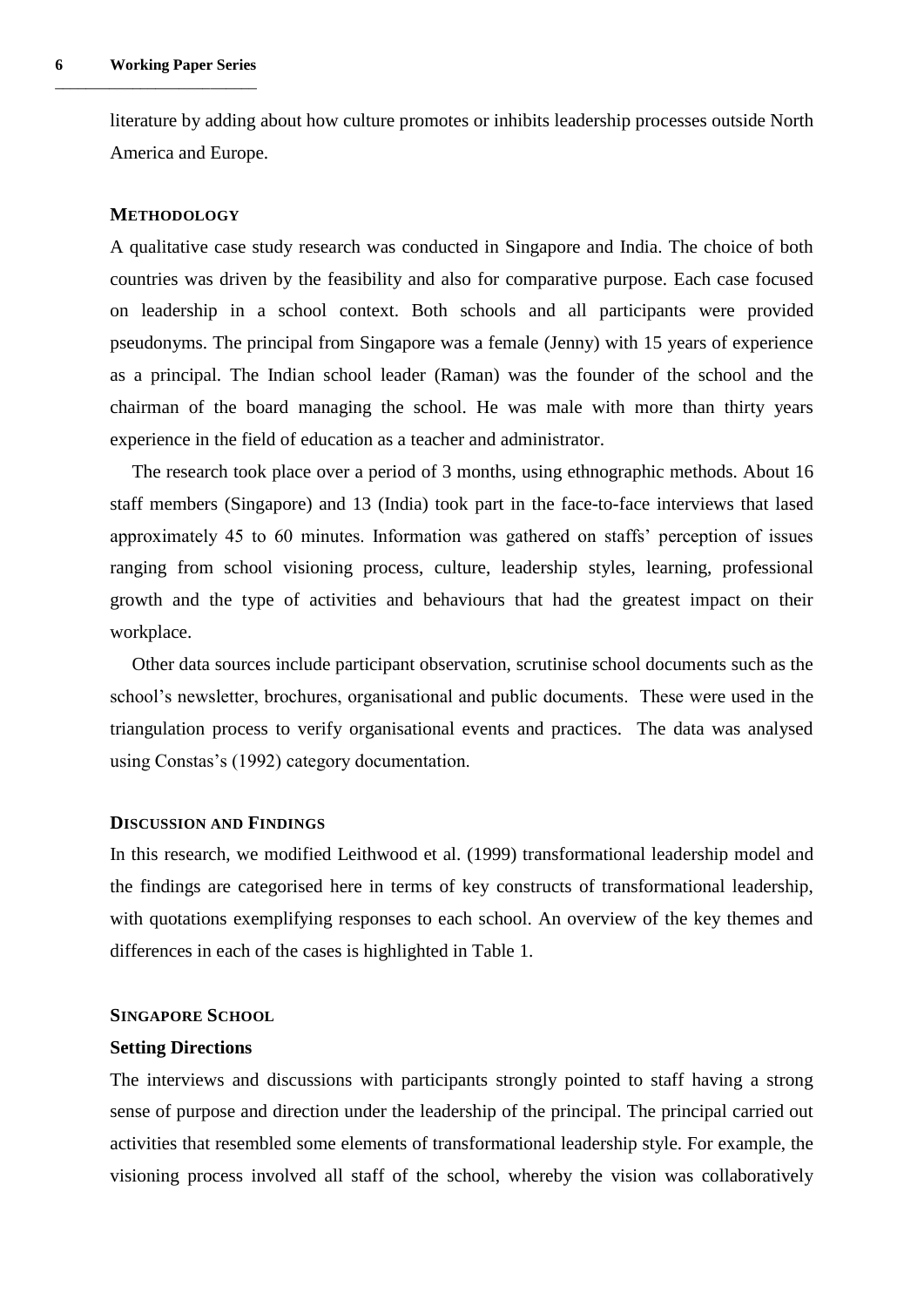literature by adding about how culture promotes or inhibits leadership processes outside North America and Europe.

## **METHODOLOGY**

A qualitative case study research was conducted in Singapore and India. The choice of both countries was driven by the feasibility and also for comparative purpose. Each case focused on leadership in a school context. Both schools and all participants were provided pseudonyms. The principal from Singapore was a female (Jenny) with 15 years of experience as a principal. The Indian school leader (Raman) was the founder of the school and the chairman of the board managing the school. He was male with more than thirty years experience in the field of education as a teacher and administrator.

The research took place over a period of 3 months, using ethnographic methods. About 16 staff members (Singapore) and 13 (India) took part in the face-to-face interviews that lased approximately 45 to 60 minutes. Information was gathered on staffs" perception of issues ranging from school visioning process, culture, leadership styles, learning, professional growth and the type of activities and behaviours that had the greatest impact on their workplace.

Other data sources include participant observation, scrutinise school documents such as the school"s newsletter, brochures, organisational and public documents. These were used in the triangulation process to verify organisational events and practices. The data was analysed using Constas"s (1992) category documentation.

## **DISCUSSION AND FINDINGS**

In this research, we modified Leithwood et al. (1999) transformational leadership model and the findings are categorised here in terms of key constructs of transformational leadership, with quotations exemplifying responses to each school. An overview of the key themes and differences in each of the cases is highlighted in Table 1.

## **SINGAPORE SCHOOL**

#### **Setting Directions**

The interviews and discussions with participants strongly pointed to staff having a strong sense of purpose and direction under the leadership of the principal. The principal carried out activities that resembled some elements of transformational leadership style. For example, the visioning process involved all staff of the school, whereby the vision was collaboratively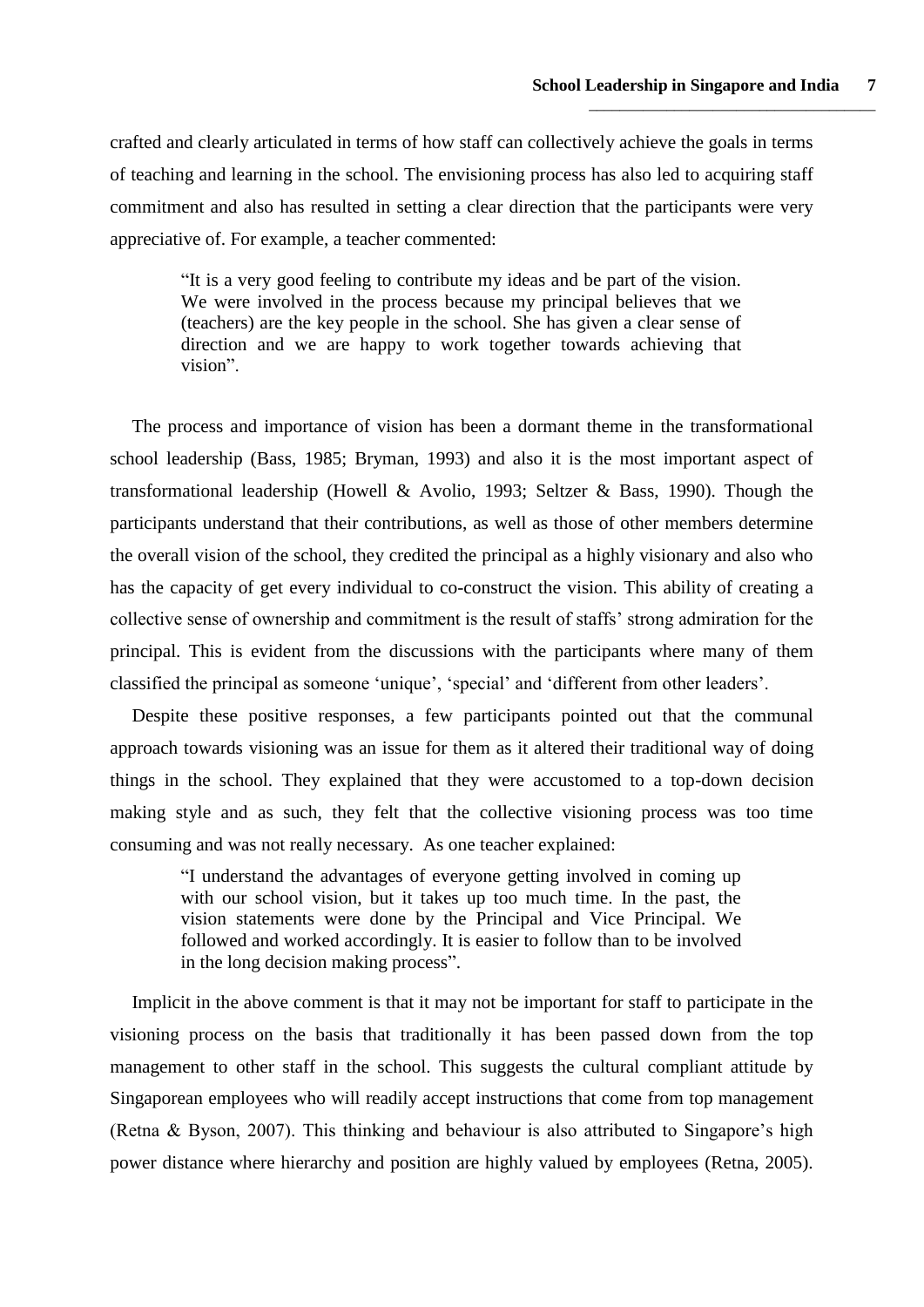crafted and clearly articulated in terms of how staff can collectively achieve the goals in terms of teaching and learning in the school. The envisioning process has also led to acquiring staff commitment and also has resulted in setting a clear direction that the participants were very appreciative of. For example, a teacher commented:

"It is a very good feeling to contribute my ideas and be part of the vision. We were involved in the process because my principal believes that we (teachers) are the key people in the school. She has given a clear sense of direction and we are happy to work together towards achieving that vision".

The process and importance of vision has been a dormant theme in the transformational school leadership (Bass, 1985; Bryman, 1993) and also it is the most important aspect of transformational leadership (Howell & Avolio, 1993; Seltzer & Bass, 1990). Though the participants understand that their contributions, as well as those of other members determine the overall vision of the school, they credited the principal as a highly visionary and also who has the capacity of get every individual to co-construct the vision. This ability of creating a collective sense of ownership and commitment is the result of staffs" strong admiration for the principal. This is evident from the discussions with the participants where many of them classified the principal as someone "unique", "special" and "different from other leaders".

Despite these positive responses, a few participants pointed out that the communal approach towards visioning was an issue for them as it altered their traditional way of doing things in the school. They explained that they were accustomed to a top-down decision making style and as such, they felt that the collective visioning process was too time consuming and was not really necessary. As one teacher explained:

> "I understand the advantages of everyone getting involved in coming up with our school vision, but it takes up too much time. In the past, the vision statements were done by the Principal and Vice Principal. We followed and worked accordingly. It is easier to follow than to be involved in the long decision making process".

Implicit in the above comment is that it may not be important for staff to participate in the visioning process on the basis that traditionally it has been passed down from the top management to other staff in the school. This suggests the cultural compliant attitude by Singaporean employees who will readily accept instructions that come from top management (Retna & Byson, 2007). This thinking and behaviour is also attributed to Singapore"s high power distance where hierarchy and position are highly valued by employees (Retna, 2005).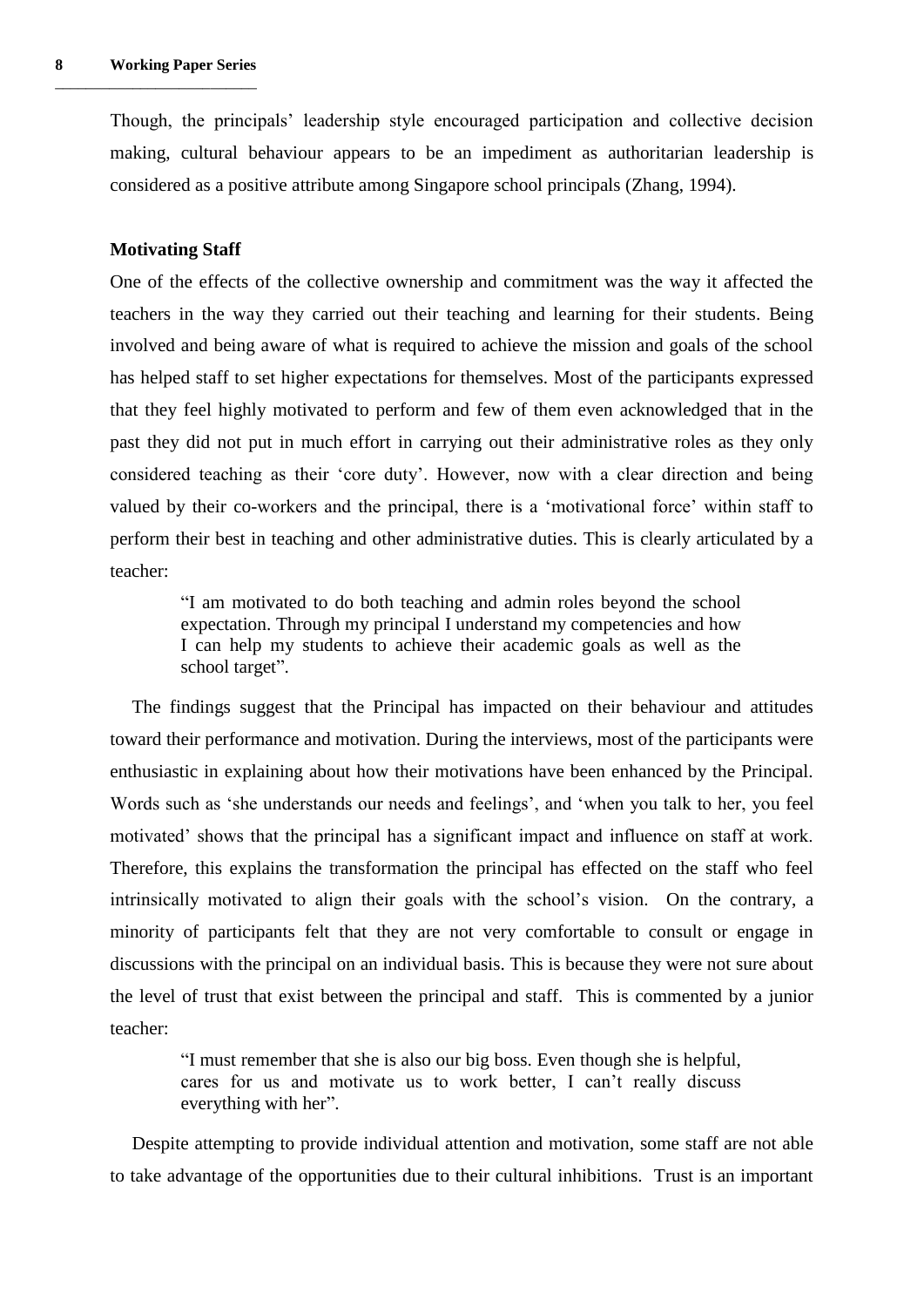Though, the principals" leadership style encouraged participation and collective decision making, cultural behaviour appears to be an impediment as authoritarian leadership is considered as a positive attribute among Singapore school principals (Zhang, 1994).

## **Motivating Staff**

One of the effects of the collective ownership and commitment was the way it affected the teachers in the way they carried out their teaching and learning for their students. Being involved and being aware of what is required to achieve the mission and goals of the school has helped staff to set higher expectations for themselves. Most of the participants expressed that they feel highly motivated to perform and few of them even acknowledged that in the past they did not put in much effort in carrying out their administrative roles as they only considered teaching as their "core duty". However, now with a clear direction and being valued by their co-workers and the principal, there is a "motivational force" within staff to perform their best in teaching and other administrative duties. This is clearly articulated by a teacher:

"I am motivated to do both teaching and admin roles beyond the school expectation. Through my principal I understand my competencies and how I can help my students to achieve their academic goals as well as the school target".

The findings suggest that the Principal has impacted on their behaviour and attitudes toward their performance and motivation. During the interviews, most of the participants were enthusiastic in explaining about how their motivations have been enhanced by the Principal. Words such as 'she understands our needs and feelings', and 'when you talk to her, you feel motivated" shows that the principal has a significant impact and influence on staff at work. Therefore, this explains the transformation the principal has effected on the staff who feel intrinsically motivated to align their goals with the school"s vision. On the contrary, a minority of participants felt that they are not very comfortable to consult or engage in discussions with the principal on an individual basis. This is because they were not sure about the level of trust that exist between the principal and staff. This is commented by a junior teacher:

> "I must remember that she is also our big boss. Even though she is helpful, cares for us and motivate us to work better, I can't really discuss everything with her".

Despite attempting to provide individual attention and motivation, some staff are not able to take advantage of the opportunities due to their cultural inhibitions. Trust is an important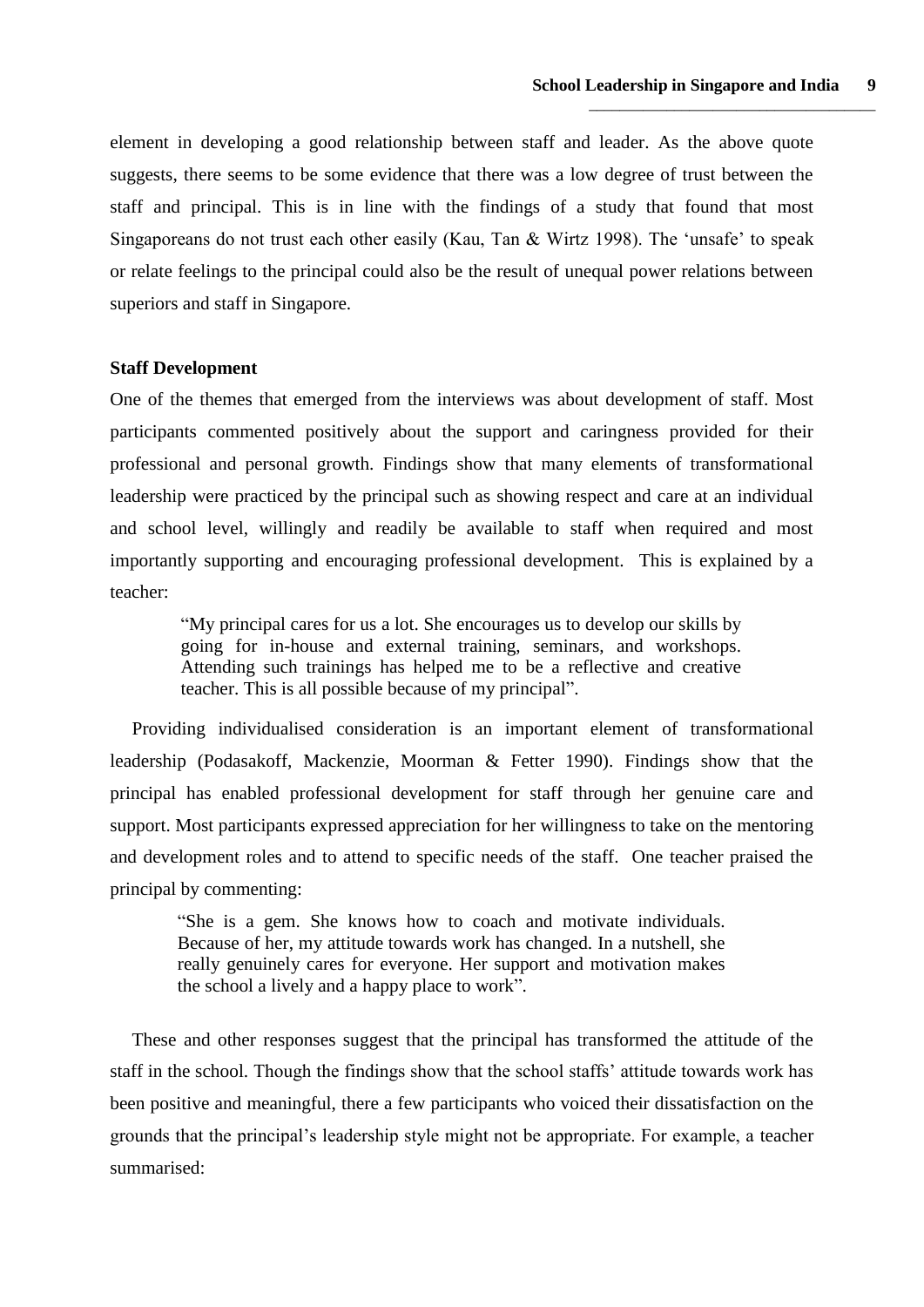element in developing a good relationship between staff and leader. As the above quote suggests, there seems to be some evidence that there was a low degree of trust between the staff and principal. This is in line with the findings of a study that found that most Singaporeans do not trust each other easily (Kau, Tan & Wirtz 1998). The "unsafe" to speak or relate feelings to the principal could also be the result of unequal power relations between superiors and staff in Singapore.

### **Staff Development**

One of the themes that emerged from the interviews was about development of staff. Most participants commented positively about the support and caringness provided for their professional and personal growth. Findings show that many elements of transformational leadership were practiced by the principal such as showing respect and care at an individual and school level, willingly and readily be available to staff when required and most importantly supporting and encouraging professional development. This is explained by a teacher:

> "My principal cares for us a lot. She encourages us to develop our skills by going for in-house and external training, seminars, and workshops. Attending such trainings has helped me to be a reflective and creative teacher. This is all possible because of my principal".

Providing individualised consideration is an important element of transformational leadership (Podasakoff, Mackenzie, Moorman & Fetter 1990). Findings show that the principal has enabled professional development for staff through her genuine care and support. Most participants expressed appreciation for her willingness to take on the mentoring and development roles and to attend to specific needs of the staff. One teacher praised the principal by commenting:

"She is a gem. She knows how to coach and motivate individuals. Because of her, my attitude towards work has changed. In a nutshell, she really genuinely cares for everyone. Her support and motivation makes the school a lively and a happy place to work".

These and other responses suggest that the principal has transformed the attitude of the staff in the school. Though the findings show that the school staffs' attitude towards work has been positive and meaningful, there a few participants who voiced their dissatisfaction on the grounds that the principal"s leadership style might not be appropriate. For example, a teacher summarised: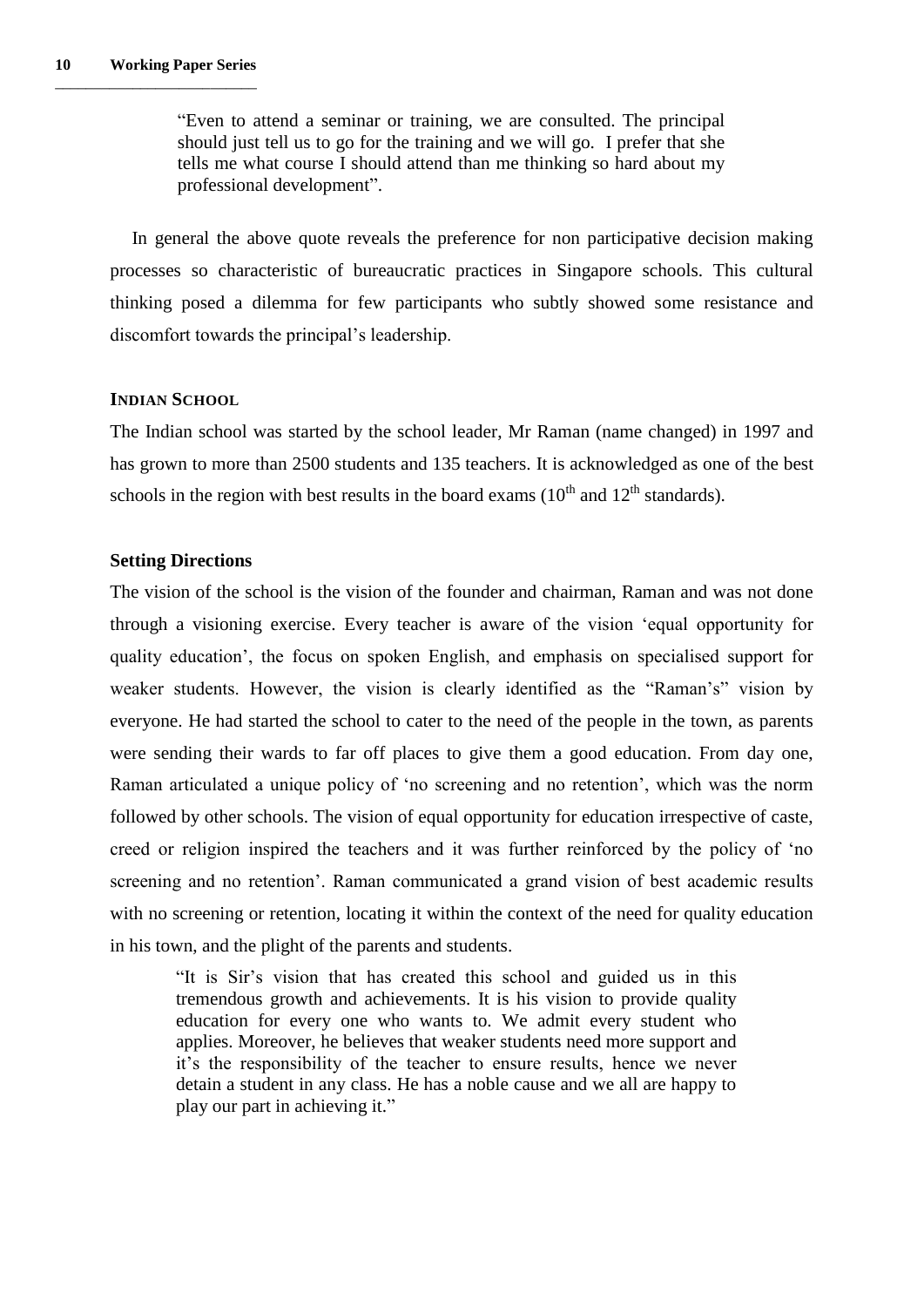"Even to attend a seminar or training, we are consulted. The principal should just tell us to go for the training and we will go. I prefer that she tells me what course I should attend than me thinking so hard about my professional development".

In general the above quote reveals the preference for non participative decision making processes so characteristic of bureaucratic practices in Singapore schools. This cultural thinking posed a dilemma for few participants who subtly showed some resistance and discomfort towards the principal"s leadership.

## **INDIAN SCHOOL**

The Indian school was started by the school leader, Mr Raman (name changed) in 1997 and has grown to more than 2500 students and 135 teachers. It is acknowledged as one of the best schools in the region with best results in the board exams  $(10<sup>th</sup>$  and  $12<sup>th</sup>$  standards).

## **Setting Directions**

The vision of the school is the vision of the founder and chairman, Raman and was not done through a visioning exercise. Every teacher is aware of the vision "equal opportunity for quality education", the focus on spoken English, and emphasis on specialised support for weaker students. However, the vision is clearly identified as the "Raman"s" vision by everyone. He had started the school to cater to the need of the people in the town, as parents were sending their wards to far off places to give them a good education. From day one, Raman articulated a unique policy of "no screening and no retention", which was the norm followed by other schools. The vision of equal opportunity for education irrespective of caste, creed or religion inspired the teachers and it was further reinforced by the policy of "no screening and no retention". Raman communicated a grand vision of best academic results with no screening or retention, locating it within the context of the need for quality education in his town, and the plight of the parents and students.

"It is Sir"s vision that has created this school and guided us in this tremendous growth and achievements. It is his vision to provide quality education for every one who wants to. We admit every student who applies. Moreover, he believes that weaker students need more support and it"s the responsibility of the teacher to ensure results, hence we never detain a student in any class. He has a noble cause and we all are happy to play our part in achieving it."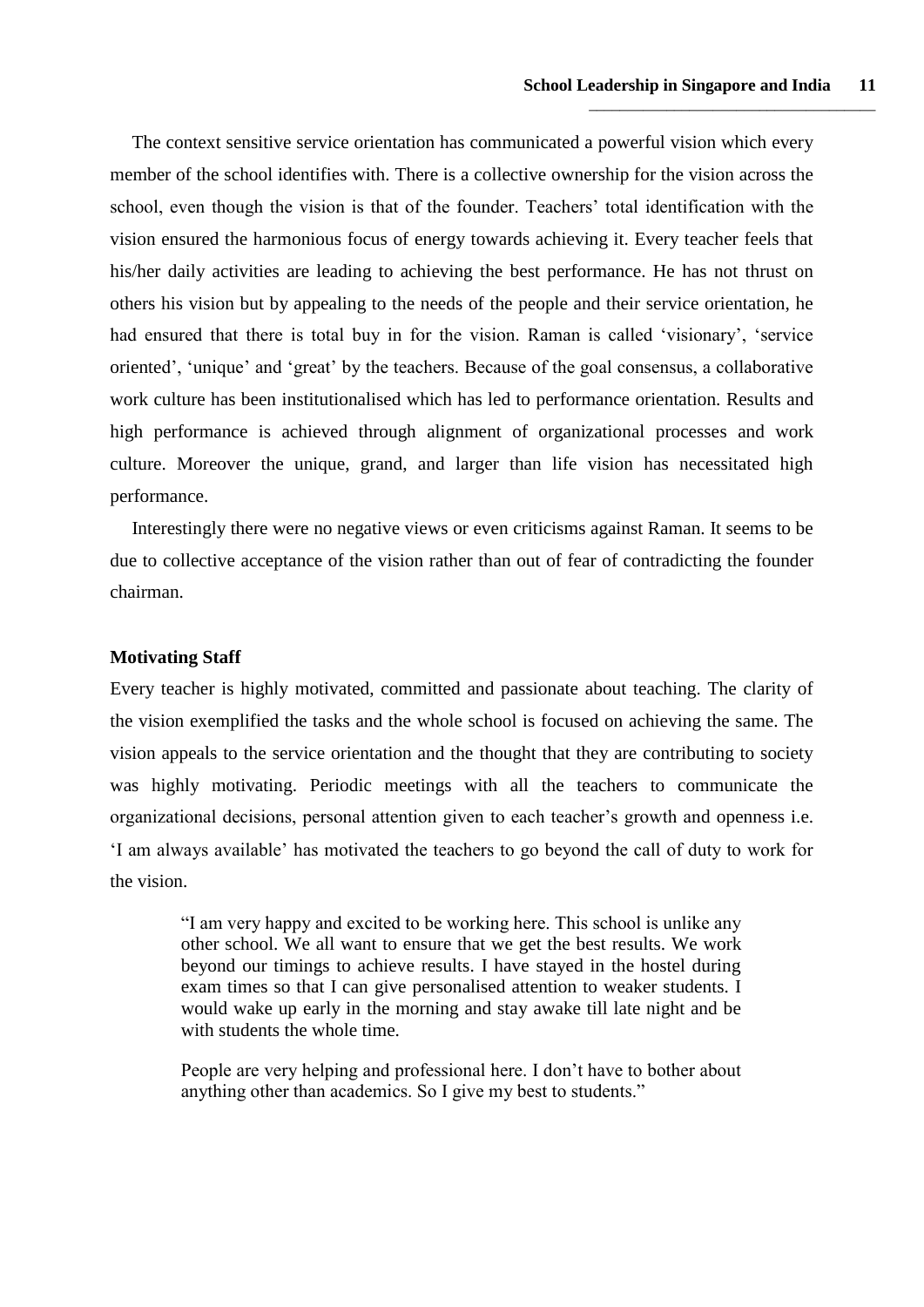The context sensitive service orientation has communicated a powerful vision which every member of the school identifies with. There is a collective ownership for the vision across the school, even though the vision is that of the founder. Teachers' total identification with the vision ensured the harmonious focus of energy towards achieving it. Every teacher feels that his/her daily activities are leading to achieving the best performance. He has not thrust on others his vision but by appealing to the needs of the people and their service orientation, he had ensured that there is total buy in for the vision. Raman is called "visionary", "service oriented", "unique" and "great" by the teachers. Because of the goal consensus, a collaborative work culture has been institutionalised which has led to performance orientation. Results and high performance is achieved through alignment of organizational processes and work culture. Moreover the unique, grand, and larger than life vision has necessitated high performance.

Interestingly there were no negative views or even criticisms against Raman. It seems to be due to collective acceptance of the vision rather than out of fear of contradicting the founder chairman.

## **Motivating Staff**

Every teacher is highly motivated, committed and passionate about teaching. The clarity of the vision exemplified the tasks and the whole school is focused on achieving the same. The vision appeals to the service orientation and the thought that they are contributing to society was highly motivating. Periodic meetings with all the teachers to communicate the organizational decisions, personal attention given to each teacher"s growth and openness i.e. "I am always available" has motivated the teachers to go beyond the call of duty to work for the vision.

> "I am very happy and excited to be working here. This school is unlike any other school. We all want to ensure that we get the best results. We work beyond our timings to achieve results. I have stayed in the hostel during exam times so that I can give personalised attention to weaker students. I would wake up early in the morning and stay awake till late night and be with students the whole time.

> People are very helping and professional here. I don"t have to bother about anything other than academics. So I give my best to students."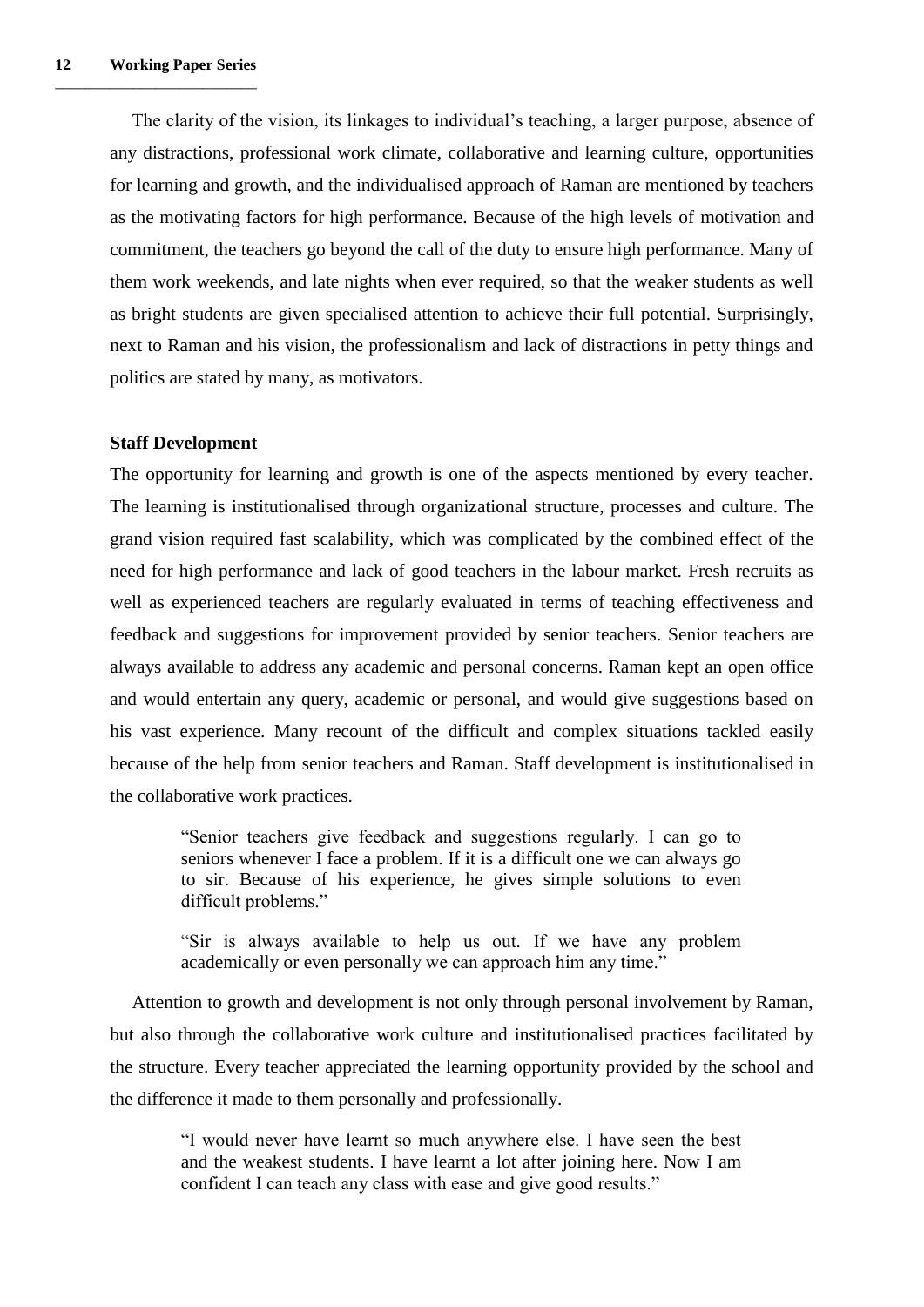The clarity of the vision, its linkages to individual's teaching, a larger purpose, absence of any distractions, professional work climate, collaborative and learning culture, opportunities for learning and growth, and the individualised approach of Raman are mentioned by teachers as the motivating factors for high performance. Because of the high levels of motivation and commitment, the teachers go beyond the call of the duty to ensure high performance. Many of them work weekends, and late nights when ever required, so that the weaker students as well as bright students are given specialised attention to achieve their full potential. Surprisingly, next to Raman and his vision, the professionalism and lack of distractions in petty things and politics are stated by many, as motivators.

#### **Staff Development**

The opportunity for learning and growth is one of the aspects mentioned by every teacher. The learning is institutionalised through organizational structure, processes and culture. The grand vision required fast scalability, which was complicated by the combined effect of the need for high performance and lack of good teachers in the labour market. Fresh recruits as well as experienced teachers are regularly evaluated in terms of teaching effectiveness and feedback and suggestions for improvement provided by senior teachers. Senior teachers are always available to address any academic and personal concerns. Raman kept an open office and would entertain any query, academic or personal, and would give suggestions based on his vast experience. Many recount of the difficult and complex situations tackled easily because of the help from senior teachers and Raman. Staff development is institutionalised in the collaborative work practices.

> "Senior teachers give feedback and suggestions regularly. I can go to seniors whenever I face a problem. If it is a difficult one we can always go to sir. Because of his experience, he gives simple solutions to even difficult problems."

> "Sir is always available to help us out. If we have any problem academically or even personally we can approach him any time."

Attention to growth and development is not only through personal involvement by Raman, but also through the collaborative work culture and institutionalised practices facilitated by the structure. Every teacher appreciated the learning opportunity provided by the school and the difference it made to them personally and professionally.

"I would never have learnt so much anywhere else. I have seen the best and the weakest students. I have learnt a lot after joining here. Now I am confident I can teach any class with ease and give good results."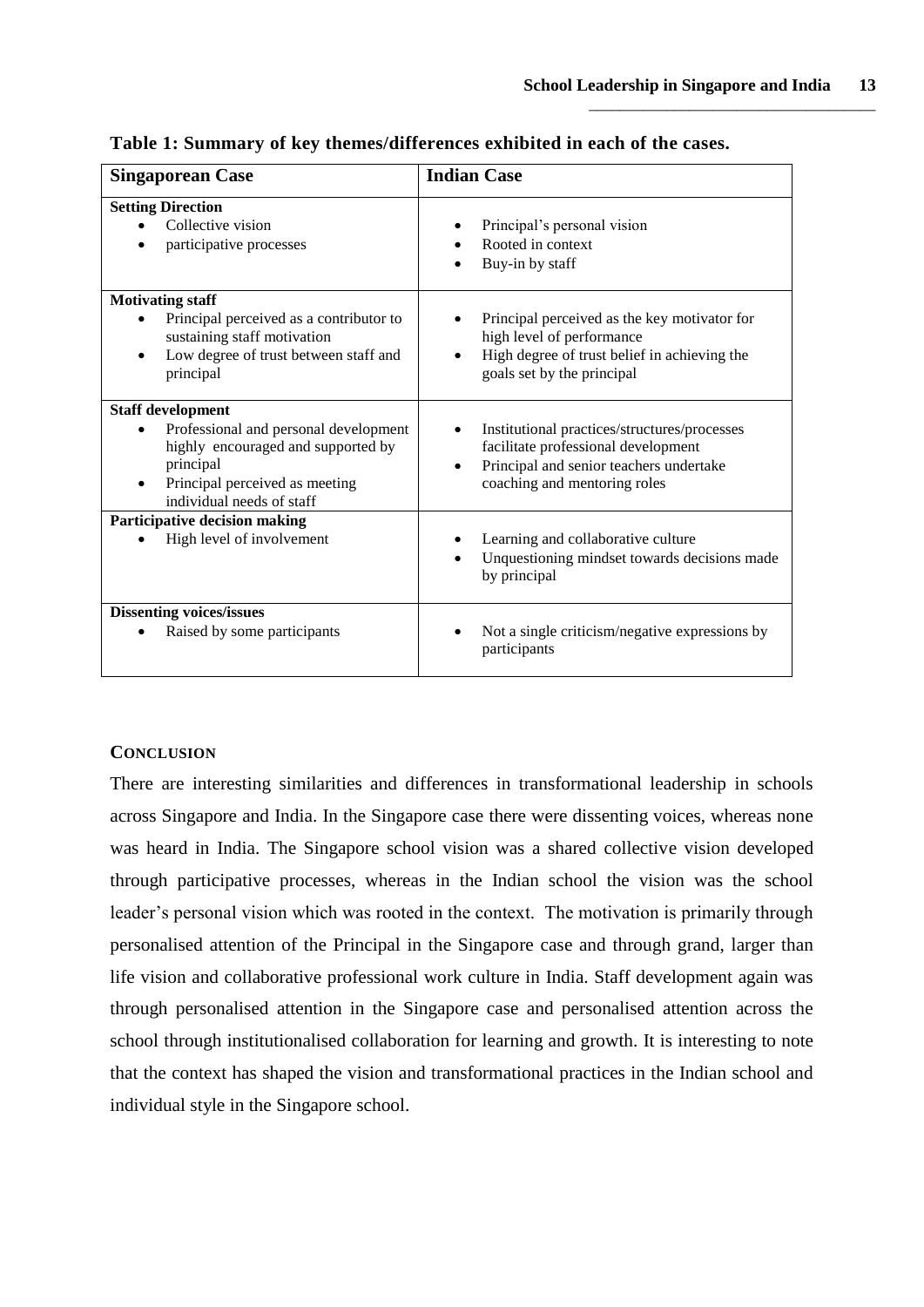| <b>Singaporean Case</b>                                                                                                                                                             | <b>Indian Case</b>                                                                                                                                                          |
|-------------------------------------------------------------------------------------------------------------------------------------------------------------------------------------|-----------------------------------------------------------------------------------------------------------------------------------------------------------------------------|
| <b>Setting Direction</b><br>Collective vision<br>participative processes                                                                                                            | Principal's personal vision<br>Rooted in context<br>Buy-in by staff                                                                                                         |
| <b>Motivating staff</b><br>Principal perceived as a contributor to<br>sustaining staff motivation<br>Low degree of trust between staff and<br>principal                             | Principal perceived as the key motivator for<br>high level of performance<br>High degree of trust belief in achieving the<br>goals set by the principal                     |
| <b>Staff development</b><br>Professional and personal development<br>highly encouraged and supported by<br>principal<br>Principal perceived as meeting<br>individual needs of staff | Institutional practices/structures/processes<br>facilitate professional development<br>Principal and senior teachers undertake<br>$\bullet$<br>coaching and mentoring roles |
| Participative decision making<br>High level of involvement                                                                                                                          | Learning and collaborative culture<br>Unquestioning mindset towards decisions made<br>by principal                                                                          |
| <b>Dissenting voices/issues</b><br>Raised by some participants<br>$\bullet$                                                                                                         | Not a single criticism/negative expressions by<br>participants                                                                                                              |

**Table 1: Summary of key themes/differences exhibited in each of the cases.**

## **CONCLUSION**

There are interesting similarities and differences in transformational leadership in schools across Singapore and India. In the Singapore case there were dissenting voices, whereas none was heard in India. The Singapore school vision was a shared collective vision developed through participative processes, whereas in the Indian school the vision was the school leader"s personal vision which was rooted in the context. The motivation is primarily through personalised attention of the Principal in the Singapore case and through grand, larger than life vision and collaborative professional work culture in India. Staff development again was through personalised attention in the Singapore case and personalised attention across the school through institutionalised collaboration for learning and growth. It is interesting to note that the context has shaped the vision and transformational practices in the Indian school and individual style in the Singapore school.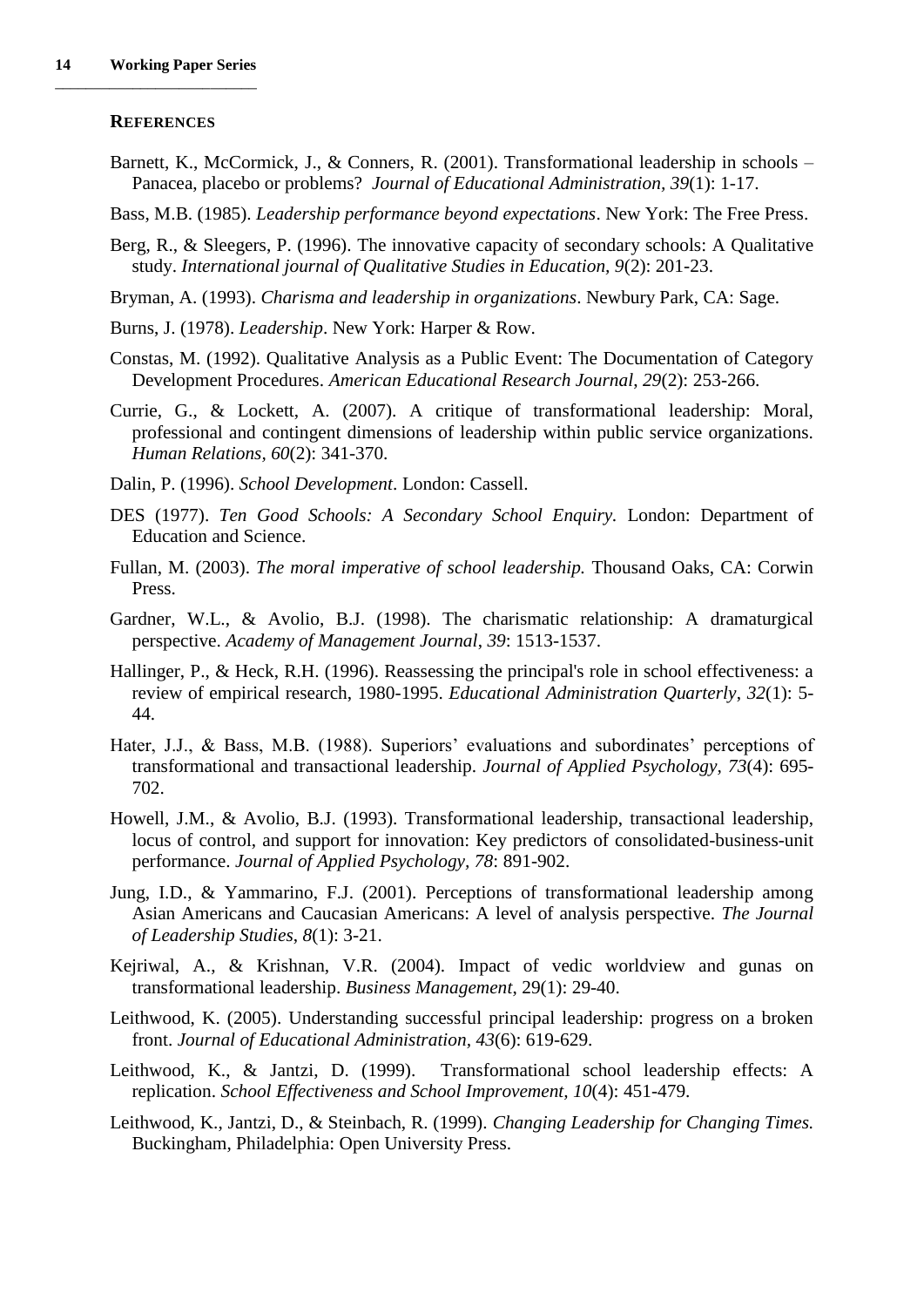#### **REFERENCES**

Barnett, K., McCormick, J., & Conners, R. (2001). Transformational leadership in schools – Panacea, placebo or problems? *Journal of Educational Administration, 39*(1): 1-17.

Bass, M.B. (1985). *Leadership performance beyond expectations*. New York: The Free Press.

- Berg, R., & Sleegers, P. (1996). The innovative capacity of secondary schools: A Qualitative study. *International journal of Qualitative Studies in Education, 9*(2): 201-23.
- Bryman, A. (1993). *Charisma and leadership in organizations*. Newbury Park, CA: Sage.
- Burns, J. (1978). *Leadership*. New York: Harper & Row.
- Constas, M. (1992). Qualitative Analysis as a Public Event: The Documentation of Category Development Procedures. *American Educational Research Journal*, *29*(2): 253-266.
- Currie, G., & Lockett, A. (2007). A critique of transformational leadership: Moral, professional and contingent dimensions of leadership within public service organizations. *Human Relations, 60*(2): 341-370.
- Dalin, P. (1996). *School Development*. London: Cassell.
- DES (1977). *Ten Good Schools: A Secondary School Enquiry.* London: Department of Education and Science.
- Fullan, M. (2003). *The moral imperative of school leadership.* Thousand Oaks, CA: Corwin Press.
- Gardner, W.L., & Avolio, B.J. (1998). The charismatic relationship: A dramaturgical perspective. *Academy of Management Journal*, *39*: 1513-1537.
- Hallinger, P., & Heck, R.H. (1996). Reassessing the principal's role in school effectiveness: a review of empirical research, 1980-1995. *Educational Administration Quarterly*, *32*(1): 5- 44.
- Hater, J.J., & Bass, M.B. (1988). Superiors' evaluations and subordinates' perceptions of transformational and transactional leadership. *Journal of Applied Psychology, 73*(4): 695- 702.
- Howell, J.M., & Avolio, B.J. (1993). Transformational leadership, transactional leadership, locus of control, and support for innovation: Key predictors of consolidated-business-unit performance. *Journal of Applied Psychology, 78*: 891-902.
- Jung, I.D., & Yammarino, F.J. (2001). Perceptions of transformational leadership among Asian Americans and Caucasian Americans: A level of analysis perspective. *The Journal of Leadership Studies*, *8*(1): 3-21.
- Kejriwal, A., & Krishnan, V.R. (2004). Impact of vedic worldview and gunas on transformational leadership. *Business Management*, 29(1): 29-40.
- Leithwood, K. (2005). Understanding successful principal leadership: progress on a broken front. *Journal of Educational Administration, 43*(6): 619-629.
- Leithwood, K., & Jantzi, D. (1999). Transformational school leadership effects: A replication. *School Effectiveness and School Improvement, 10*(4): 451-479.
- Leithwood, K., Jantzi, D., & Steinbach, R. (1999). *Changing Leadership for Changing Times.*  Buckingham, Philadelphia: Open University Press.